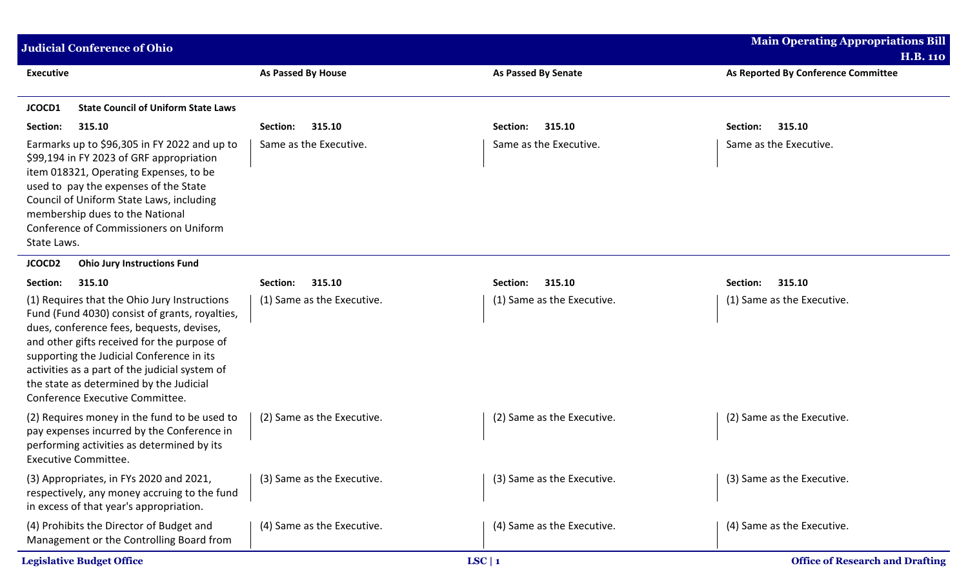| <b>Judicial Conference of Ohio</b>                                                                                                                                                                                                                                                                                                                                      |                            |                            | <b>Main Operating Appropriations Bill</b>              |
|-------------------------------------------------------------------------------------------------------------------------------------------------------------------------------------------------------------------------------------------------------------------------------------------------------------------------------------------------------------------------|----------------------------|----------------------------|--------------------------------------------------------|
| <b>Executive</b>                                                                                                                                                                                                                                                                                                                                                        | <b>As Passed By House</b>  | <b>As Passed By Senate</b> | <b>H.B. 110</b><br>As Reported By Conference Committee |
| <b>State Council of Uniform State Laws</b><br>JCOCD1                                                                                                                                                                                                                                                                                                                    |                            |                            |                                                        |
| Section:<br>315.10                                                                                                                                                                                                                                                                                                                                                      | 315.10<br>Section:         | 315.10<br>Section:         | Section:<br>315.10                                     |
| Earmarks up to \$96,305 in FY 2022 and up to<br>\$99,194 in FY 2023 of GRF appropriation<br>item 018321, Operating Expenses, to be<br>used to pay the expenses of the State<br>Council of Uniform State Laws, including<br>membership dues to the National<br>Conference of Commissioners on Uniform<br>State Laws.                                                     | Same as the Executive.     | Same as the Executive.     | Same as the Executive.                                 |
| JCOCD <sub>2</sub><br><b>Ohio Jury Instructions Fund</b>                                                                                                                                                                                                                                                                                                                |                            |                            |                                                        |
| 315.10<br>Section:                                                                                                                                                                                                                                                                                                                                                      | 315.10<br>Section:         | 315.10<br>Section:         | 315.10<br>Section:                                     |
| (1) Requires that the Ohio Jury Instructions<br>Fund (Fund 4030) consist of grants, royalties,<br>dues, conference fees, bequests, devises,<br>and other gifts received for the purpose of<br>supporting the Judicial Conference in its<br>activities as a part of the judicial system of<br>the state as determined by the Judicial<br>Conference Executive Committee. | (1) Same as the Executive. | (1) Same as the Executive. | (1) Same as the Executive.                             |
| (2) Requires money in the fund to be used to<br>pay expenses incurred by the Conference in<br>performing activities as determined by its<br><b>Executive Committee.</b>                                                                                                                                                                                                 | (2) Same as the Executive. | (2) Same as the Executive. | (2) Same as the Executive.                             |
| (3) Appropriates, in FYs 2020 and 2021,<br>respectively, any money accruing to the fund<br>in excess of that year's appropriation.                                                                                                                                                                                                                                      | (3) Same as the Executive. | (3) Same as the Executive. | (3) Same as the Executive.                             |
| (4) Prohibits the Director of Budget and<br>Management or the Controlling Board from                                                                                                                                                                                                                                                                                    | (4) Same as the Executive. | (4) Same as the Executive. | (4) Same as the Executive.                             |
| <b>Legislative Budget Office</b>                                                                                                                                                                                                                                                                                                                                        |                            | LSC   1                    | <b>Office of Research and Drafting</b>                 |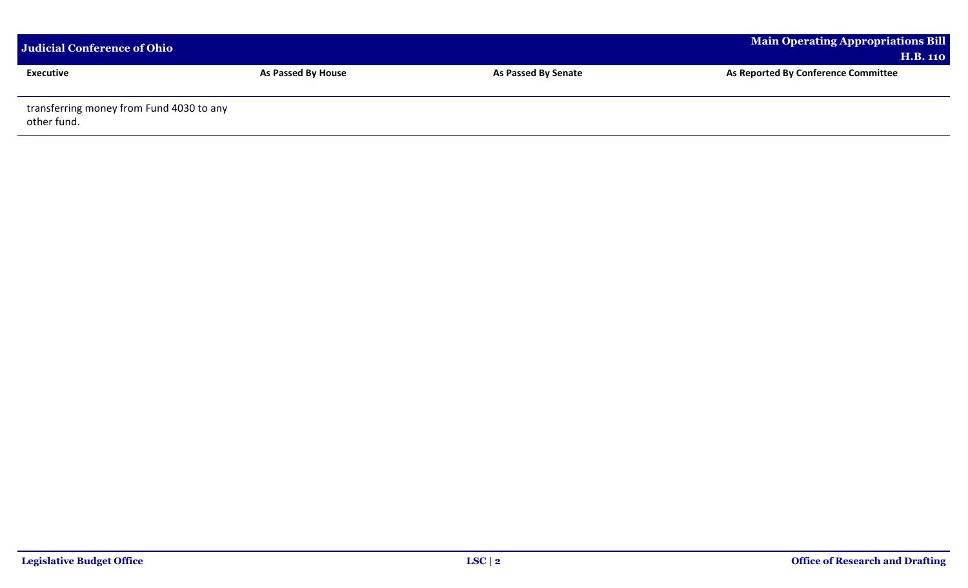| Judicial Conference of Ohio                             |                           |                            | Main Operating Appropriations Bill<br><b>H.B. 110</b> |  |
|---------------------------------------------------------|---------------------------|----------------------------|-------------------------------------------------------|--|
| <b>Executive</b>                                        | <b>As Passed By House</b> | <b>As Passed By Senate</b> | As Reported By Conference Committee                   |  |
| transferring money from Fund 4030 to any<br>other fund. |                           |                            |                                                       |  |